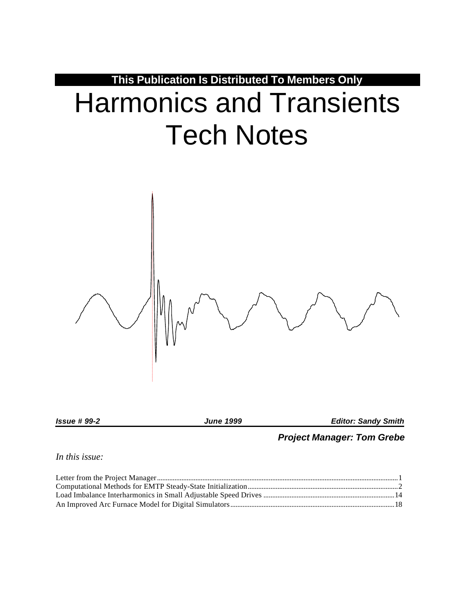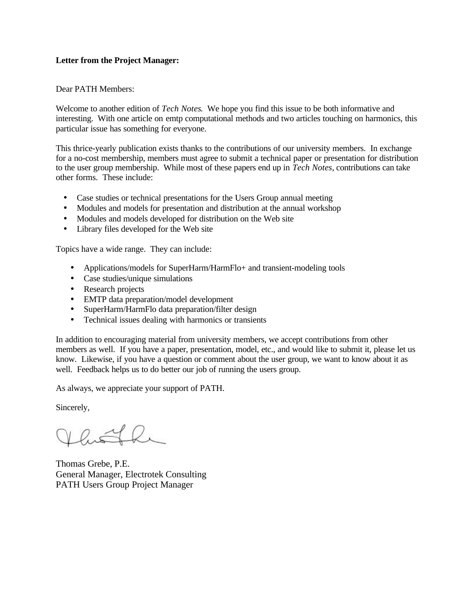# **Letter from the Project Manager:**

## Dear PATH Members:

Welcome to another edition of *Tech Notes*. We hope you find this issue to be both informative and interesting. With one article on emtp computational methods and two articles touching on harmonics, this particular issue has something for everyone.

This thrice-yearly publication exists thanks to the contributions of our university members. In exchange for a no-cost membership, members must agree to submit a technical paper or presentation for distribution to the user group membership. While most of these papers end up in *Tech Notes*, contributions can take other forms. These include:

- Case studies or technical presentations for the Users Group annual meeting
- Modules and models for presentation and distribution at the annual workshop
- Modules and models developed for distribution on the Web site
- Library files developed for the Web site

Topics have a wide range. They can include:

- Applications/models for SuperHarm/HarmFlo+ and transient-modeling tools
- Case studies/unique simulations
- Research projects
- EMTP data preparation/model development
- SuperHarm/HarmFlo data preparation/filter design
- Technical issues dealing with harmonics or transients

In addition to encouraging material from university members, we accept contributions from other members as well. If you have a paper, presentation, model, etc., and would like to submit it, please let us know. Likewise, if you have a question or comment about the user group, we want to know about it as well. Feedback helps us to do better our job of running the users group.

As always, we appreciate your support of PATH.

Sincerely,

Khoth

Thomas Grebe, P.E. General Manager, Electrotek Consulting PATH Users Group Project Manager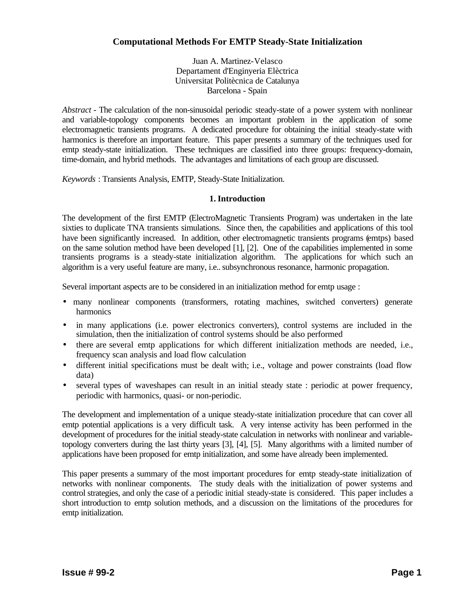# **Computational Methods For EMTP Steady-State Initialization**

Juan A. Martinez-Velasco Departament d'Enginyeria Elèctrica Universitat Politècnica de Catalunya Barcelona - Spain

*Abstract* - The calculation of the non-sinusoidal periodic steady-state of a power system with nonlinear and variable-topology components becomes an important problem in the application of some electromagnetic transients programs. A dedicated procedure for obtaining the initial steady-state with harmonics is therefore an important feature. This paper presents a summary of the techniques used for emtp steady-state initialization. These techniques are classified into three groups: frequency-domain, time-domain, and hybrid methods. The advantages and limitations of each group are discussed.

*Keywords* : Transients Analysis, EMTP, Steady-State Initialization.

# **1. Introduction**

The development of the first EMTP (ElectroMagnetic Transients Program) was undertaken in the late sixties to duplicate TNA transients simulations. Since then, the capabilities and applications of this tool have been significantly increased. In addition, other electromagnetic transients programs (emtps) based on the same solution method have been developed [1], [2]. One of the capabilities implemented in some transients programs is a steady-state initialization algorithm. The applications for which such an algorithm is a very useful feature are many, i.e.. subsynchronous resonance, harmonic propagation.

Several important aspects are to be considered in an initialization method for emtp usage :

- many nonlinear components (transformers, rotating machines, switched converters) generate harmonics
- in many applications (i.e. power electronics converters), control systems are included in the simulation, then the initialization of control systems should be also performed
- there are several emtp applications for which different initialization methods are needed, i.e., frequency scan analysis and load flow calculation
- different initial specifications must be dealt with; i.e., voltage and power constraints (load flow data)
- several types of waveshapes can result in an initial steady state : periodic at power frequency, periodic with harmonics, quasi- or non-periodic.

The development and implementation of a unique steady-state initialization procedure that can cover all emtp potential applications is a very difficult task. A very intense activity has been performed in the development of procedures for the initial steady-state calculation in networks with nonlinear and variabletopology converters during the last thirty years [3], [4], [5]. Many algorithms with a limited number of applications have been proposed for emtp initialization, and some have already been implemented.

This paper presents a summary of the most important procedures for emtp steady-state initialization of networks with nonlinear components. The study deals with the initialization of power systems and control strategies, and only the case of a periodic initial steady-state is considered. This paper includes a short introduction to emtp solution methods, and a discussion on the limitations of the procedures for emtp initialization.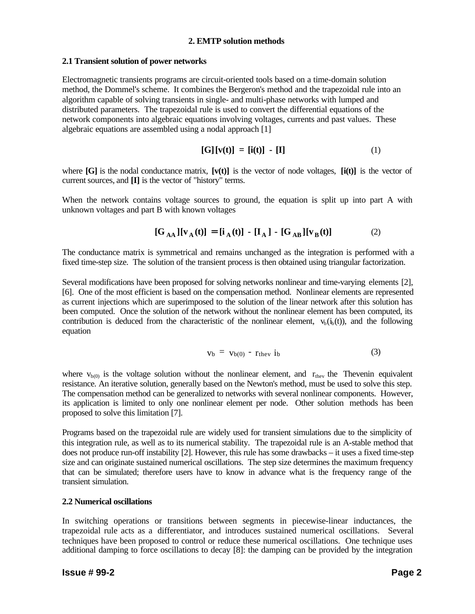## **2. EMTP solution methods**

## **2.1 Transient solution of power networks**

Electromagnetic transients programs are circuit-oriented tools based on a time-domain solution method, the Dommel's scheme. It combines the Bergeron's method and the trapezoidal rule into an algorithm capable of solving transients in single- and multi-phase networks with lumped and distributed parameters. The trapezoidal rule is used to convert the differential equations of the network components into algebraic equations involving voltages, currents and past values. These algebraic equations are assembled using a nodal approach [1]

$$
[\mathbf{G}][\mathbf{v}(t)] = [\mathbf{i}(t)] - [\mathbf{I}] \tag{1}
$$

where  $[G]$  is the nodal conductance matrix,  $[\mathbf{v}(t)]$  is the vector of node voltages,  $[\mathbf{i}(t)]$  is the vector of current sources, and **[I]** is the vector of "history" terms.

When the network contains voltage sources to ground, the equation is split up into part A with unknown voltages and part B with known voltages

$$
[\mathbf{G}_{\mathbf{A}\mathbf{A}}][\mathbf{v}_{\mathbf{A}}(\mathbf{t})] = [\mathbf{i}_{\mathbf{A}}(\mathbf{t})] - [\mathbf{I}_{\mathbf{A}}] - [\mathbf{G}_{\mathbf{A}\mathbf{B}}][\mathbf{v}_{\mathbf{B}}(\mathbf{t})]
$$
(2)

The conductance matrix is symmetrical and remains unchanged as the integration is performed with a fixed time-step size. The solution of the transient process is then obtained using triangular factorization.

Several modifications have been proposed for solving networks nonlinear and time-varying elements [2], [6]. One of the most efficient is based on the compensation method. Nonlinear elements are represented as current injections which are superimposed to the solution of the linear network after this solution has been computed. Once the solution of the network without the nonlinear element has been computed, its contribution is deduced from the characteristic of the nonlinear element,  $v_b(i_b(t))$ , and the following equation

$$
v_b = v_{b(0)} - r_{thev} i_b \tag{3}
$$

where  $v_{b(0)}$  is the voltage solution without the nonlinear element, and  $r_{\text{thev}}$  the Thevenin equivalent resistance. An iterative solution, generally based on the Newton's method, must be used to solve this step. The compensation method can be generalized to networks with several nonlinear components. However, its application is limited to only one nonlinear element per node. Other solution methods has been proposed to solve this limitation [7].

Programs based on the trapezoidal rule are widely used for transient simulations due to the simplicity of this integration rule, as well as to its numerical stability. The trapezoidal rule is an A-stable method that does not produce run-off instability [2]. However, this rule has some drawbacks – it uses a fixed time-step size and can originate sustained numerical oscillations. The step size determines the maximum frequency that can be simulated; therefore users have to know in advance what is the frequency range of the transient simulation.

# **2.2 Numerical oscillations**

In switching operations or transitions between segments in piecewise-linear inductances, the trapezoidal rule acts as a differentiator, and introduces sustained numerical oscillations. Several techniques have been proposed to control or reduce these numerical oscillations. One technique uses additional damping to force oscillations to decay [8]: the damping can be provided by the integration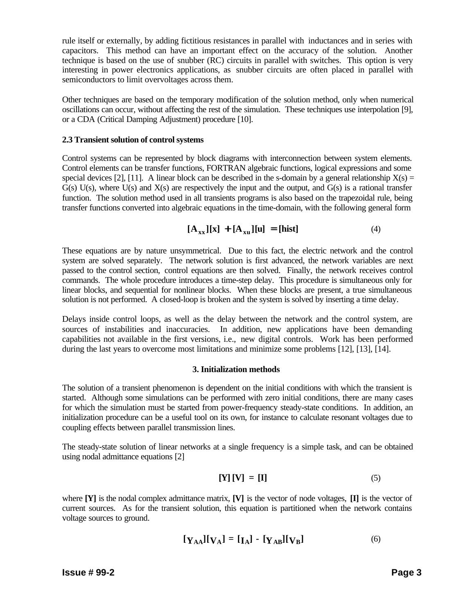rule itself or externally, by adding fictitious resistances in parallel with inductances and in series with capacitors. This method can have an important effect on the accuracy of the solution. Another technique is based on the use of snubber (RC) circuits in parallel with switches. This option is very interesting in power electronics applications, as snubber circuits are often placed in parallel with semiconductors to limit overvoltages across them.

Other techniques are based on the temporary modification of the solution method, only when numerical oscillations can occur, without affecting the rest of the simulation. These techniques use interpolation [9], or a CDA (Critical Damping Adjustment) procedure [10].

## **2.3 Transient solution of control systems**

Control systems can be represented by block diagrams with interconnection between system elements. Control elements can be transfer functions, FORTRAN algebraic functions, logical expressions and some special devices [2], [11]. A linear block can be described in the s-domain by a general relationship  $X(s)$  =  $G(s)$  U(s), where U(s) and  $X(s)$  are respectively the input and the output, and  $G(s)$  is a rational transfer function. The solution method used in all transients programs is also based on the trapezoidal rule, being transfer functions converted into algebraic equations in the time-domain, with the following general form

$$
[\mathbf{A}_{xx}][x] + [\mathbf{A}_{xu}][u] = [hist]
$$
 (4)

These equations are by nature unsymmetrical. Due to this fact, the electric network and the control system are solved separately. The network solution is first advanced, the network variables are next passed to the control section, control equations are then solved. Finally, the network receives control commands. The whole procedure introduces a time-step delay. This procedure is simultaneous only for linear blocks, and sequential for nonlinear blocks. When these blocks are present, a true simultaneous solution is not performed. A closed-loop is broken and the system is solved by inserting a time delay.

Delays inside control loops, as well as the delay between the network and the control system, are sources of instabilities and inaccuracies. In addition, new applications have been demanding capabilities not available in the first versions, i.e., new digital controls. Work has been performed during the last years to overcome most limitations and minimize some problems [12], [13], [14].

# **3. Initialization methods**

The solution of a transient phenomenon is dependent on the initial conditions with which the transient is started. Although some simulations can be performed with zero initial conditions, there are many cases for which the simulation must be started from power-frequency steady-state conditions. In addition, an initialization procedure can be a useful tool on its own, for instance to calculate resonant voltages due to coupling effects between parallel transmission lines.

The steady-state solution of linear networks at a single frequency is a simple task, and can be obtained using nodal admittance equations [2]

$$
\left[\mathbf{Y}\right]\left[\mathbf{V}\right] = \left[\mathbf{I}\right] \tag{5}
$$

where **[Y]** is the nodal complex admittance matrix, **[V]** is the vector of node voltages, **[I]** is the vector of current sources. As for the transient solution, this equation is partitioned when the network contains voltage sources to ground.

$$
[\mathbf{Y}_{AA}][\mathbf{V}_{A}] = [\mathbf{I}_{A}] - [\mathbf{Y}_{AB}][\mathbf{V}_{B}] \tag{6}
$$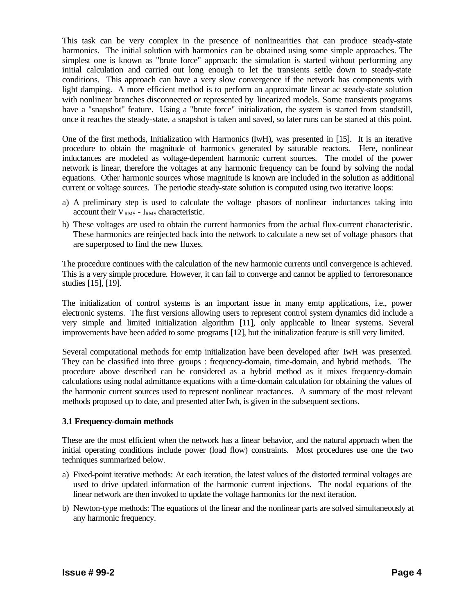This task can be very complex in the presence of nonlinearities that can produce steady-state harmonics. The initial solution with harmonics can be obtained using some simple approaches. The simplest one is known as "brute force" approach: the simulation is started without performing any initial calculation and carried out long enough to let the transients settle down to steady-state conditions. This approach can have a very slow convergence if the network has components with light damping. A more efficient method is to perform an approximate linear ac steady-state solution with nonlinear branches disconnected or represented by linearized models. Some transients programs have a "snapshot" feature. Using a "brute force" initialization, the system is started from standstill, once it reaches the steady-state, a snapshot is taken and saved, so later runs can be started at this point.

One of the first methods, Initialization with Harmonics (IwH), was presented in [15]. It is an iterative procedure to obtain the magnitude of harmonics generated by saturable reactors. Here, nonlinear inductances are modeled as voltage-dependent harmonic current sources. The model of the power network is linear, therefore the voltages at any harmonic frequency can be found by solving the nodal equations. Other harmonic sources whose magnitude is known are included in the solution as additional current or voltage sources. The periodic steady-state solution is computed using two iterative loops:

- a) A preliminary step is used to calculate the voltage phasors of nonlinear inductances taking into account their  $V_{RMS}$  - I<sub>RMS</sub> characteristic.
- b) These voltages are used to obtain the current harmonics from the actual flux-current characteristic. These harmonics are reinjected back into the network to calculate a new set of voltage phasors that are superposed to find the new fluxes.

The procedure continues with the calculation of the new harmonic currents until convergence is achieved. This is a very simple procedure. However, it can fail to converge and cannot be applied to ferroresonance studies [15], [19].

The initialization of control systems is an important issue in many emtp applications, i.e., power electronic systems. The first versions allowing users to represent control system dynamics did include a very simple and limited initialization algorithm [11], only applicable to linear systems. Several improvements have been added to some programs [12], but the initialization feature is still very limited.

Several computational methods for emtp initialization have been developed after IwH was presented. They can be classified into three groups : frequency-domain, time-domain, and hybrid methods. The procedure above described can be considered as a hybrid method as it mixes frequency-domain calculations using nodal admittance equations with a time-domain calculation for obtaining the values of the harmonic current sources used to represent nonlinear reactances. A summary of the most relevant methods proposed up to date, and presented after Iwh, is given in the subsequent sections.

# **3.1 Frequency-domain methods**

These are the most efficient when the network has a linear behavior, and the natural approach when the initial operating conditions include power (load flow) constraints. Most procedures use one the two techniques summarized below.

- a) Fixed-point iterative methods: At each iteration, the latest values of the distorted terminal voltages are used to drive updated information of the harmonic current injections. The nodal equations of the linear network are then invoked to update the voltage harmonics for the next iteration.
- b) Newton-type methods: The equations of the linear and the nonlinear parts are solved simultaneously at any harmonic frequency.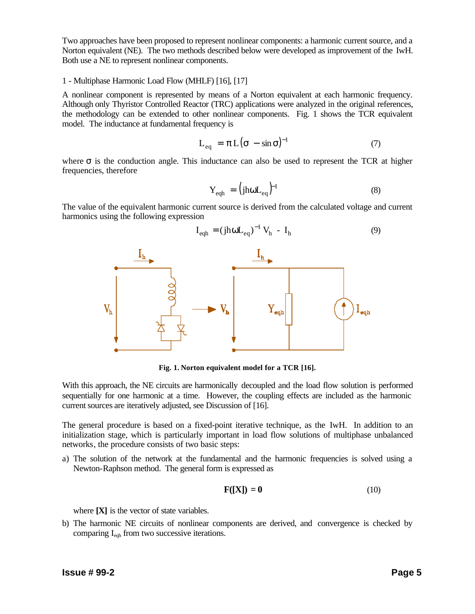Two approaches have been proposed to represent nonlinear components: a harmonic current source, and a Norton equivalent (NE). The two methods described below were developed as improvement of the IwH. Both use a NE to represent nonlinear components.

## 1 - Multiphase Harmonic Load Flow (MHLF) [16], [17]

A nonlinear component is represented by means of a Norton equivalent at each harmonic frequency. Although only Thyristor Controlled Reactor (TRC) applications were analyzed in the original references, the methodology can be extended to other nonlinear components. Fig. 1 shows the TCR equivalent model. The inductance at fundamental frequency is

$$
L_{eq} = \pi L (\sigma - \sin \sigma)^{-1}
$$
 (7)

where  $\sigma$  is the conduction angle. This inductance can also be used to represent the TCR at higher frequencies, therefore

$$
Y_{\text{eqh}} = (j\text{ho}L_{\text{eq}})^{-1} \tag{8}
$$

The value of the equivalent harmonic current source is derived from the calculated voltage and current harmonics using the following expression



**Fig. 1. Norton equivalent model for a TCR [16].**

With this approach, the NE circuits are harmonically decoupled and the load flow solution is performed sequentially for one harmonic at a time. However, the coupling effects are included as the harmonic current sources are iteratively adjusted, see Discussion of [16].

The general procedure is based on a fixed-point iterative technique, as the IwH. In addition to an initialization stage, which is particularly important in load flow solutions of multiphase unbalanced networks, the procedure consists of two basic steps:

a) The solution of the network at the fundamental and the harmonic frequencies is solved using a Newton-Raphson method. The general form is expressed as

$$
\mathbf{F}(\mathbf{[X]}) = \mathbf{0} \tag{10}
$$

where **[X]** is the vector of state variables.

b) The harmonic NE circuits of nonlinear components are derived, and convergence is checked by comparing  $I_{\text{eqh}}$  from two successive iterations.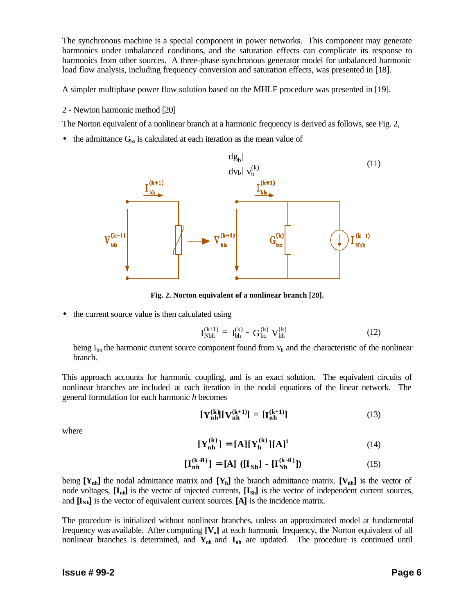The synchronous machine is a special component in power networks. This component may generate harmonics under unbalanced conditions, and the saturation effects can complicate its response to harmonics from other sources. A three-phase synchronous generator model for unbalanced harmonic load flow analysis, including frequency conversion and saturation effects, was presented in [18].

A simpler multiphase power flow solution based on the MHLF procedure was presented in [19].

2 - Newton harmonic method [20]

The Norton equivalent of a nonlinear branch at a harmonic frequency is derived as follows, see Fig. 2,

• the admittance  $G_{\text{bo}}$  is calculated at each iteration as the mean value of



**Fig. 2. Norton equivalent of a nonlinear branch [20].**

• the current source value is then calculated using

$$
\mathbf{I}_{\text{Nbh}}^{(k+1)} = \mathbf{I}_{\text{bh}}^{(k)} - \mathbf{G}_{\text{bo}}^{(k)} \mathbf{V}_{\text{bh}}^{(k)}
$$
(12)

being  $I_{bh}$  the harmonic current source component found from  $v_b$  and the characteristic of the nonlinear branch.

This approach accounts for harmonic coupling, and is an exact solution. The equivalent circuits of nonlinear branches are included at each iteration in the nodal equations of the linear network. The general formulation for each harmonic *h* becomes

$$
\begin{bmatrix} \mathbf{Y}_{\mathbf{n}\mathbf{h}}^{(k)} \end{bmatrix} \begin{bmatrix} \mathbf{V}_{\mathbf{n}\mathbf{h}}^{(k+1)} \end{bmatrix} = \begin{bmatrix} \mathbf{I}_{\mathbf{n}\mathbf{h}}^{(k+1)} \end{bmatrix} \tag{13}
$$

where

$$
\begin{bmatrix} \mathbf{Y}_{\mathbf{n}\mathbf{h}}^{(k)} \end{bmatrix} = [\mathbf{A}][\mathbf{Y}_{\mathbf{h}}^{(k)}][\mathbf{A}]^{t} \tag{14}
$$

$$
\begin{bmatrix} I_{nh}^{(k+1)} \end{bmatrix} = [A] \left( [I_{Sh}] - [I_{Nh}^{(k+1)}] \right) \tag{15}
$$

being  $[Y_{nh}]$  the nodal admittance matrix and  $[Y_h]$  the branch admittance matrix.  $[V_{nh}]$  is the vector of node voltages, **[Inh]** is the vector of injected currents, **[ISh]** is the vector of independent current sources, and **[INh]** is the vector of equivalent current sources. **[A]** is the incidence matrix.

The procedure is initialized without nonlinear branches, unless an approximated model at fundamental frequency was available. After computing **[Vn]** at each harmonic frequency, the Norton equivalent of all nonlinear branches is determined, and **Ynh** and **Inh** are updated. The procedure is continued until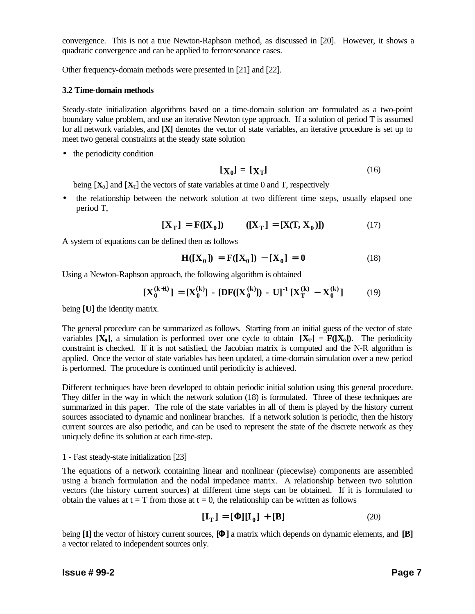convergence. This is not a true Newton-Raphson method, as discussed in [20]. However, it shows a quadratic convergence and can be applied to ferroresonance cases.

Other frequency-domain methods were presented in [21] and [22].

## **3.2 Time-domain methods**

Steady-state initialization algorithms based on a time-domain solution are formulated as a two-point boundary value problem, and use an iterative Newton type approach. If a solution of period T is assumed for all network variables, and **[X]** denotes the vector of state variables, an iterative procedure is set up to meet two general constraints at the steady state solution

• the periodicity condition

$$
[\mathbf{X}_0] = [\mathbf{X}_T] \tag{16}
$$

being  $[X_0]$  and  $[X_T]$  the vectors of state variables at time 0 and T, respectively

• the relationship between the network solution at two different time steps, usually elapsed one period T,

$$
[X_T] = F([X_0]) \qquad ([X_T] = [X(T, X_0)]) \qquad (17)
$$

A system of equations can be defined then as follows

$$
H([X_0]) = F([X_0]) - [X_0] = 0
$$
 (18)

Using a Newton-Raphson approach, the following algorithm is obtained

$$
\begin{bmatrix} \mathbf{X}_0^{(k+1)} \end{bmatrix} = \begin{bmatrix} \mathbf{X}_0^{(k)} \end{bmatrix} - \begin{bmatrix} \mathbf{DF}(\mathbf{X}_0^{(k)}) \end{bmatrix} - \mathbf{U} \begin{bmatrix}^{-1} \mathbf{X}_T^{(k)} - \mathbf{X}_0^{(k)} \end{bmatrix} \tag{19}
$$

being **[U]** the identity matrix.

The general procedure can be summarized as follows. Starting from an initial guess of the vector of state variables  $[X_0]$ , a simulation is performed over one cycle to obtain  $[X_T] = F([X_0])$ . The periodicity constraint is checked. If it is not satisfied, the Jacobian matrix is computed and the N-R algorithm is applied. Once the vector of state variables has been updated, a time-domain simulation over a new period is performed. The procedure is continued until periodicity is achieved.

Different techniques have been developed to obtain periodic initial solution using this general procedure. They differ in the way in which the network solution (18) is formulated. Three of these techniques are summarized in this paper. The role of the state variables in all of them is played by the history current sources associated to dynamic and nonlinear branches. If a network solution is periodic, then the history current sources are also periodic, and can be used to represent the state of the discrete network as they uniquely define its solution at each time-step.

## 1 - Fast steady-state initialization [23]

The equations of a network containing linear and nonlinear (piecewise) components are assembled using a branch formulation and the nodal impedance matrix. A relationship between two solution vectors (the history current sources) at different time steps can be obtained. If it is formulated to obtain the values at  $t = T$  from those at  $t = 0$ , the relationship can be written as follows

$$
[\mathbf{I}_{\mathrm{T}}] = [\mathbf{F}][\mathbf{I}_0] + [\mathbf{B}] \tag{20}
$$

being **[I]** the vector of history current sources, **[F]** a matrix which depends on dynamic elements, and **[B]** a vector related to independent sources only.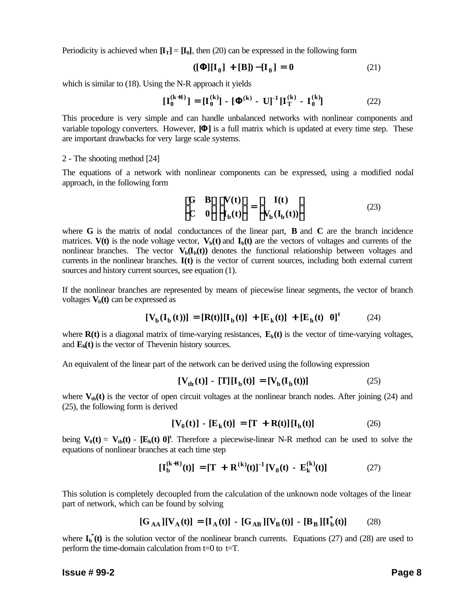Periodicity is achieved when  $[\mathbf{I}_T] = [\mathbf{I}_0]$ , then (20) can be expressed in the following form

$$
([\mathbf{F}][I_0] + [B]) - [I_0] = 0 \tag{21}
$$

which is similar to (18). Using the N-R approach it yields

$$
\begin{bmatrix} I_0^{(k+1)} \end{bmatrix} = \begin{bmatrix} I_0^{(k)} \end{bmatrix} - \begin{bmatrix} \mathbf{F}^{(k)} - U \end{bmatrix}^{-1} \begin{bmatrix} I_T^{(k)} - I_0^{(k)} \end{bmatrix} \tag{22}
$$

This procedure is very simple and can handle unbalanced networks with nonlinear components and variable topology converters. However, **[F]** is a full matrix which is updated at every time step. These are important drawbacks for very large scale systems.

#### 2 - The shooting method [24]

The equations of a network with nonlinear components can be expressed, using a modified nodal approach, in the following form

**6G** 
$$
\mathbf{B}\mathbf{\hat{u}} \mathbf{\hat{e}}V(t)\mathbf{\hat{u}} = \mathbf{\hat{e}} \quad I(t) \quad \mathbf{\hat{u}} \quad (23)
$$
\n**6** 
$$
0 \mathbf{\hat{u}} \mathbf{\hat{e}}_b(t) \mathbf{\hat{u}} = \mathbf{\hat{e}} \quad V_b(I_b(t)) \mathbf{\hat{u}} \quad (24)
$$

where **G** is the matrix of nodal conductances of the linear part, **B** and **C** are the branch incidence matrices. **V(t)** is the node voltage vector,  $V_b(t)$  and  $I_b(t)$  are the vectors of voltages and currents of the nonlinear branches. The vector  $V_b(I_b(t))$  denotes the functional relationship between voltages and currents in the nonlinear branches. **I(t)** is the vector of current sources, including both external current sources and history current sources, see equation (1).

If the nonlinear branches are represented by means of piecewise linear segments, the vector of branch voltages  $V_b(t)$  can be expressed as

$$
[\mathbf{V}_{\mathbf{b}}(\mathbf{I}_{\mathbf{b}}(t))] = [\mathbf{R}(t)][\mathbf{I}_{\mathbf{b}}(t)] + [\mathbf{E}_{\mathbf{k}}(t)] + [\mathbf{E}_{\mathbf{h}}(t) \ \mathbf{0}]^{t} \tag{24}
$$

where  $R(t)$  is a diagonal matrix of time-varying resistances,  $E_k(t)$  is the vector of time-varying voltages, and  $\mathbf{E}_{h}(\mathbf{t})$  is the vector of Thevenin history sources.

An equivalent of the linear part of the network can be derived using the following expression

$$
[\mathbf{V}_{\mathrm{th}}(t)] - [\mathbf{T}][\mathbf{I}_{\mathrm{b}}(t)] = [\mathbf{V}_{\mathrm{b}}(\mathbf{I}_{\mathrm{b}}(t))]
$$
 (25)

where  $V_{th}(t)$  is the vector of open circuit voltages at the nonlinear branch nodes. After joining (24) and (25), the following form is derived

$$
[V_0(t)] - [E_k(t)] = [T + R(t)][I_b(t)] \qquad (26)
$$

being  $V_0(t) = V_{th}(t)$  -  $[E_h(t) 0]^t$ . Therefore a piecewise-linear N-R method can be used to solve the equations of nonlinear branches at each time step

$$
[\mathbf{I}_{b}^{(k+1)}(t)] = [\mathbf{T} + \mathbf{R}^{(k)}(t)]^{-1} [\mathbf{V}_{0}(t) - \mathbf{E}_{k}^{(k)}(t)] \tag{27}
$$

This solution is completely decoupled from the calculation of the unknown node voltages of the linear part of network, which can be found by solving

$$
[\mathbf{G}_{\mathbf{A}\mathbf{A}}][\mathbf{V}_{\mathbf{A}}(\mathbf{t})] = [\mathbf{I}_{\mathbf{A}}(\mathbf{t})] - [\mathbf{G}_{\mathbf{A}\mathbf{B}}][\mathbf{V}_{\mathbf{B}}(\mathbf{t})] - [\mathbf{B}_{\mathbf{B}}][\mathbf{I}_{\mathbf{b}}^{*}(\mathbf{t})] \tag{28}
$$

where  $I_b^*(t)$  is the solution vector of the nonlinear branch currents. Equations (27) and (28) are used to perform the time-domain calculation from  $t=0$  to  $t=T$ .

#### **Issue # 99-2 Page 8**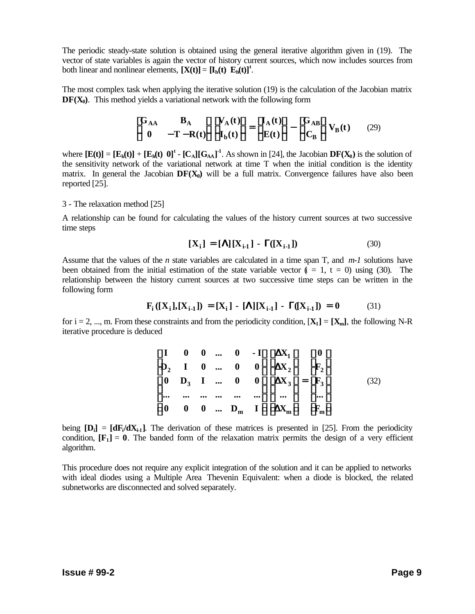The periodic steady-state solution is obtained using the general iterative algorithm given in (19). The vector of state variables is again the vector of history current sources, which now includes sources from both linear and nonlinear elements,  $[\mathbf{X}(t)] = [\mathbf{I}_h(t) \ \mathbf{E}_h(t)]^t$ .

The most complex task when applying the iterative solution (19) is the calculation of the Jacobian matrix  $DF(X_0)$ . This method yields a variational network with the following form

$$
\begin{array}{ll}\n\mathbf{G}_{AA} & \mathbf{B}_A & \hat{\mathbf{u}} \cdot \mathbf{C}_A(t) \hat{\mathbf{u}} = \mathbf{G}_A(t) \hat{\mathbf{u}} - \mathbf{G}_{AB} \hat{\mathbf{u}} \\
\hat{\mathbf{e}} & 0 & -\mathbf{T} - \mathbf{R}(t) \hat{\mathbf{a}} \cdot \hat{\mathbf{e}} \mathbf{I}_b(t) \hat{\mathbf{a}} = \hat{\mathbf{e}} \mathbf{E}(t) \hat{\mathbf{a}} - \hat{\mathbf{e}} \mathbf{C}_B \hat{\mathbf{u}} \mathbf{V}_B(t) \n\end{array} \tag{29}
$$

where  $[\mathbf{E}(t)] = [\mathbf{E}_k(t)] + [\mathbf{E}_h(t) \ \mathbf{0}]^t - [\mathbf{C}_A][\mathbf{G}_{AA}]^T$ . As shown in [24], the Jacobian  $\mathbf{DF}(\mathbf{X}_0)$  is the solution of the sensitivity network of the variational network at time T when the initial condition is the identity matrix. In general the Jacobian  $DF(X_0)$  will be a full matrix. Convergence failures have also been reported [25].

### 3 - The relaxation method [25]

A relationship can be found for calculating the values of the history current sources at two successive time steps

$$
[X_i] = [\mathbf{L}][X_{i-1}] - \mathbf{G}([X_{i-1}])
$$
\n(30)

Assume that the values of the *n* state variables are calculated in a time span T, and *m-1* solutions have been obtained from the initial estimation of the state variable vector  $(i = 1, t = 0)$  using (30). The relationship between the history current sources at two successive time steps can be written in the following form

$$
F_i([X_i],[X_{i-1}]) = [X_i] - [\mathbf{L}][X_{i-1}] - \mathbf{G}([X_{i-1}]) = 0
$$
 (31)

for  $i = 2, ..., m$ . From these constraints and from the periodicity condition,  $[X_1] = [X_m]$ , the following N-R iterative procedure is deduced

| $\epsilon$ I            |  |  | $\begin{array}{ccccccccc} 0 & 0 &  & 0 & -\operatorname{I\check{u}}\mathbf{\check{e}}\mathbf{D\!X}_1\mathbf{\check{u}} & \mathbf{\check{e}}\mathbf{0}\mathbf{\check{u}} \end{array}$                                                                                                                                                                                                                                                                                                                      |     |
|-------------------------|--|--|-----------------------------------------------------------------------------------------------------------------------------------------------------------------------------------------------------------------------------------------------------------------------------------------------------------------------------------------------------------------------------------------------------------------------------------------------------------------------------------------------------------|-----|
| $\mathbf{\hat{\Phi}}_2$ |  |  | $1 \quad 0 \quad  \quad 0 \quad 0 \stackrel{\text{\'{u}}\hat{\text{\'{e}}}}{\text{\'{e}}\text{D}} \text{X}_{2} \stackrel{\text{\'{u}}}{\text{\'{e}}} \stackrel{\hat{\text{\'{e}}}}{\text{\'{e}}\text{F}_{2}} \stackrel{\text{\'{u}}}{\text{\'{u}}}$                                                                                                                                                                                                                                                       |     |
| $\mathbf{\hat{e}}_0$    |  |  | $D_3$ 1  0 0 <b>ú êD</b> X <sub>3</sub> <b>ú</b> = <b>ê</b> F <sub>3</sub> <b>ú</b><br><b>ú</b> ê ú <b>é</b> ú                                                                                                                                                                                                                                                                                                                                                                                            | 32) |
| ê…                      |  |  |                                                                                                                                                                                                                                                                                                                                                                                                                                                                                                           |     |
| $\mathbf{\hat{g}}0$     |  |  | $0 \quad 0 \quad  \quad D_m \quad I \quad \text{if} \quad \text{D} X_m \quad \text{if} \quad \text{D} T \quad \text{if} \quad \text{D} T \quad \text{if} \quad \text{D} T \quad \text{if} \quad \text{D} T \quad \text{if} \quad \text{D} T \quad \text{if} \quad \text{D} T \quad \text{if} \quad \text{D} T \quad \text{if} \quad \text{D} T \quad \text{if} \quad \text{D} T \quad \text{if} \quad \text{D} T \quad \text{if} \quad \text{D} T \quad \text{if} \quad \text{D} T \quad \text{if} \quad$ |     |

being  $[D_i] = [dF_i/dX_i]$ . The derivation of these matrices is presented in [25]. From the periodicity condition,  $[F_1] = 0$ . The banded form of the relaxation matrix permits the design of a very efficient algorithm.

This procedure does not require any explicit integration of the solution and it can be applied to networks with ideal diodes using a Multiple Area Thevenin Equivalent: when a diode is blocked, the related subnetworks are disconnected and solved separately.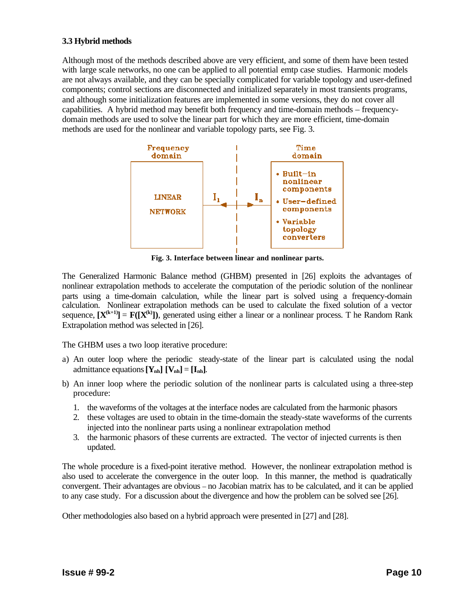# **3.3 Hybrid methods**

Although most of the methods described above are very efficient, and some of them have been tested with large scale networks, no one can be applied to all potential emtp case studies. Harmonic models are not always available, and they can be specially complicated for variable topology and user-defined components; control sections are disconnected and initialized separately in most transients programs, and although some initialization features are implemented in some versions, they do not cover all capabilities. A hybrid method may benefit both frequency and time-domain methods – frequencydomain methods are used to solve the linear part for which they are more efficient, time-domain methods are used for the nonlinear and variable topology parts, see Fig. 3.



**Fig. 3. Interface between linear and nonlinear parts.**

The Generalized Harmonic Balance method (GHBM) presented in [26] exploits the advantages of nonlinear extrapolation methods to accelerate the computation of the periodic solution of the nonlinear parts using a time-domain calculation, while the linear part is solved using a frequency-domain calculation. Nonlinear extrapolation methods can be used to calculate the fixed solution of a vector sequence,  $[\mathbf{X}^{(k+1)}] = \mathbf{F}([\mathbf{X}^{(k)}])$ , generated using either a linear or a nonlinear process. T he Random Rank Extrapolation method was selected in [26].

The GHBM uses a two loop iterative procedure:

- a) An outer loop where the periodic steady-state of the linear part is calculated using the nodal admittance equations  $[Y_{nh}] [V_{nh}] = [I_{nh}]$ .
- b) An inner loop where the periodic solution of the nonlinear parts is calculated using a three-step procedure:
	- 1. the waveforms of the voltages at the interface nodes are calculated from the harmonic phasors
	- 2. these voltages are used to obtain in the time-domain the steady-state waveforms of the currents injected into the nonlinear parts using a nonlinear extrapolation method
	- 3. the harmonic phasors of these currents are extracted. The vector of injected currents is then updated.

The whole procedure is a fixed-point iterative method. However, the nonlinear extrapolation method is also used to accelerate the convergence in the outer loop. In this manner, the method is quadratically convergent. Their advantages are obvious – no Jacobian matrix has to be calculated, and it can be applied to any case study. For a discussion about the divergence and how the problem can be solved see [26].

Other methodologies also based on a hybrid approach were presented in [27] and [28].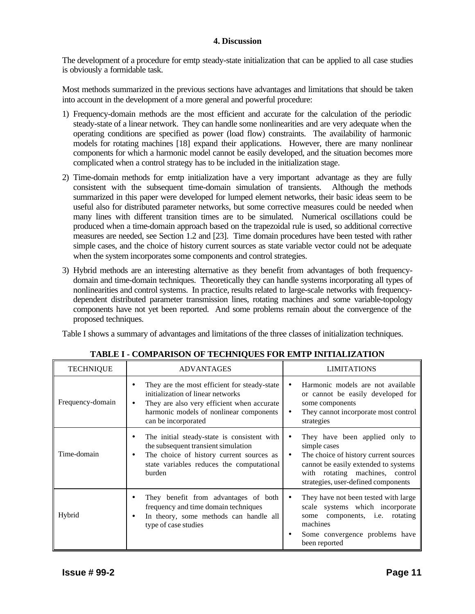## **4. Discussion**

The development of a procedure for emtp steady-state initialization that can be applied to all case studies is obviously a formidable task.

Most methods summarized in the previous sections have advantages and limitations that should be taken into account in the development of a more general and powerful procedure:

- 1) Frequency-domain methods are the most efficient and accurate for the calculation of the periodic steady-state of a linear network. They can handle some nonlinearities and are very adequate when the operating conditions are specified as power (load flow) constraints. The availability of harmonic models for rotating machines [18] expand their applications. However, there are many nonlinear components for which a harmonic model cannot be easily developed, and the situation becomes more complicated when a control strategy has to be included in the initialization stage.
- 2) Time-domain methods for emtp initialization have a very important advantage as they are fully consistent with the subsequent time-domain simulation of transients. Although the methods summarized in this paper were developed for lumped element networks, their basic ideas seem to be useful also for distributed parameter networks, but some corrective measures could be needed when many lines with different transition times are to be simulated. Numerical oscillations could be produced when a time-domain approach based on the trapezoidal rule is used, so additional corrective measures are needed, see Section 1.2 and [23]. Time domain procedures have been tested with rather simple cases, and the choice of history current sources as state variable vector could not be adequate when the system incorporates some components and control strategies.
- 3) Hybrid methods are an interesting alternative as they benefit from advantages of both frequencydomain and time-domain techniques. Theoretically they can handle systems incorporating all types of nonlinearities and control systems. In practice, results related to large-scale networks with frequencydependent distributed parameter transmission lines, rotating machines and some variable-topology components have not yet been reported. And some problems remain about the convergence of the proposed techniques.

Table I shows a summary of advantages and limitations of the three classes of initialization techniques.

| <b>TECHNIQUE</b> | <b>ADVANTAGES</b>                                                                                                                                                                                      | <b>LIMITATIONS</b>                                                                                                                                                                                                          |
|------------------|--------------------------------------------------------------------------------------------------------------------------------------------------------------------------------------------------------|-----------------------------------------------------------------------------------------------------------------------------------------------------------------------------------------------------------------------------|
| Frequency-domain | They are the most efficient for steady-state<br>initialization of linear networks<br>They are also very efficient when accurate<br>٠<br>harmonic models of nonlinear components<br>can be incorporated | Harmonic models are not available<br>or cannot be easily developed for<br>some components<br>They cannot incorporate most control<br>٠<br>strategies                                                                        |
| Time-domain      | The initial steady-state is consistent with<br>٠<br>the subsequent transient simulation<br>The choice of history current sources as<br>٠<br>state variables reduces the computational<br>burden        | They have been applied only to<br>٠<br>simple cases<br>The choice of history current sources<br>$\bullet$<br>cannot be easily extended to systems<br>with rotating machines, control<br>strategies, user-defined components |
| Hybrid           | They benefit from advantages of both<br>frequency and time domain techniques<br>In theory, some methods can handle all<br>٠<br>type of case studies                                                    | They have not been tested with large<br>٠<br>scale systems which incorporate<br>components, <i>i.e.</i> rotating<br>some<br>machines<br>Some convergence problems have<br>been reported                                     |

# **TABLE I - COMPARISON OF TECHNIQUES FOR EMTP INITIALIZATION**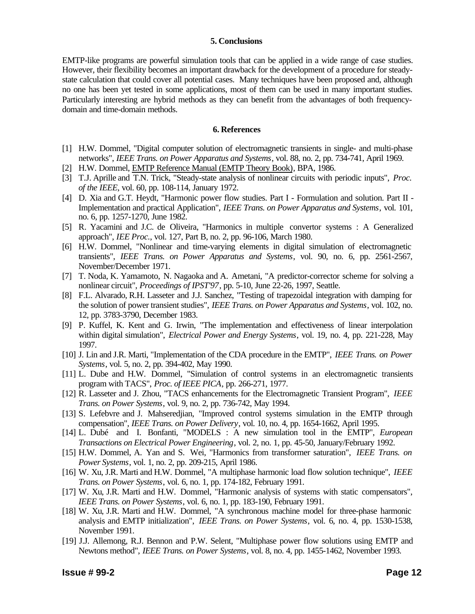#### **5. Conclusions**

EMTP-like programs are powerful simulation tools that can be applied in a wide range of case studies. However, their flexibility becomes an important drawback for the development of a procedure for steadystate calculation that could cover all potential cases. Many techniques have been proposed and, although no one has been yet tested in some applications, most of them can be used in many important studies. Particularly interesting are hybrid methods as they can benefit from the advantages of both frequencydomain and time-domain methods.

#### **6. References**

- [1] H.W. Dommel, "Digital computer solution of electromagnetic transients in single- and multi-phase networks", *IEEE Trans. on Power Apparatus and Systems*, vol. 88, no. 2, pp. 734-741, April 1969.
- [2] H.W. Dommel, EMTP Reference Manual (EMTP Theory Book), BPA, 1986.
- [3] T.J. Aprille and T.N. Trick, "Steady-state analysis of nonlinear circuits with periodic inputs", *Proc. of the IEEE*, vol. 60, pp. 108-114, January 1972.
- [4] D. Xia and G.T. Heydt, "Harmonic power flow studies. Part I Formulation and solution. Part II Implementation and practical Application", *IEEE Trans. on Power Apparatus and Systems*, vol. 101, no. 6, pp. 1257-1270, June 1982.
- [5] R. Yacamini and J.C. de Oliveira, "Harmonics in multiple convertor systems : A Generalized approach", *IEE Proc.*, vol. 127, Part B, no. 2, pp. 96-106, March 1980.
- [6] H.W. Dommel, "Nonlinear and time-varying elements in digital simulation of electromagnetic transients", *IEEE Trans. on Power Apparatus and Systems*, vol. 90, no. 6, pp. 2561-2567, November/December 1971.
- [7] T. Noda, K. Yamamoto, N. Nagaoka and A. Ametani, "A predictor-corrector scheme for solving a nonlinear circuit", *Proceedings of IPST'97*, pp. 5-10, June 22-26, 1997, Seattle.
- [8] F.L. Alvarado, R.H. Lasseter and J.J. Sanchez, "Testing of trapezoidal integration with damping for the solution of power transient studies", *IEEE Trans. on Power Apparatus and Systems*, vol. 102, no. 12, pp. 3783-3790, December 1983.
- [9] P. Kuffel, K. Kent and G. Irwin, "The implementation and effectiveness of linear interpolation within digital simulation", *Electrical Power and Energy Systems*, vol. 19, no. 4, pp. 221-228, May 1997.
- [10] J. Lin and J.R. Marti, "Implementation of the CDA procedure in the EMTP", *IEEE Trans. on Power Systems*, vol. 5, no. 2, pp. 394-402, May 1990.
- [11] L. Dube and H.W. Dommel, "Simulation of control systems in an electromagnetic transients program with TACS", *Proc. of IEEE PICA*, pp. 266-271, 1977.
- [12] R. Lasseter and J. Zhou, "TACS enhancements for the Electromagnetic Transient Program", *IEEE Trans. on Power Systems*, vol. 9, no. 2, pp. 736-742, May 1994.
- [13] S. Lefebvre and J. Mahseredjian, "Improved control systems simulation in the EMTP through compensation", *IEEE Trans. on Power Delivery*, vol. 10, no. 4, pp. 1654-1662, April 1995.
- [14] L. Dubé and I. Bonfanti, "MODELS : A new simulation tool in the EMTP", *European Transactions on Electrical Power Engineering*, vol. 2, no. 1, pp. 45-50, January/February 1992.
- [15] H.W. Dommel, A. Yan and S. Wei, "Harmonics from transformer saturation", *IEEE Trans. on Power Systems*, vol. 1, no. 2, pp. 209-215, April 1986.
- [16] W. Xu, J.R. Marti and H.W. Dommel, "A multiphase harmonic load flow solution technique", *IEEE Trans. on Power Systems*, vol. 6, no. 1, pp. 174-182, February 1991.
- [17] W. Xu, J.R. Marti and H.W. Dommel, "Harmonic analysis of systems with static compensators", *IEEE Trans. on Power Systems*, vol. 6, no. 1, pp. 183-190, February 1991.
- [18] W. Xu, J.R. Marti and H.W. Dommel, "A synchronous machine model for three-phase harmonic analysis and EMTP initialization", *IEEE Trans. on Power Systems*, vol. 6, no. 4, pp. 1530-1538, November 1991.
- [19] J.J. Allemong, R.J. Bennon and P.W. Selent, "Multiphase power flow solutions using EMTP and Newtons method", *IEEE Trans. on Power Systems*, vol. 8, no. 4, pp. 1455-1462, November 1993.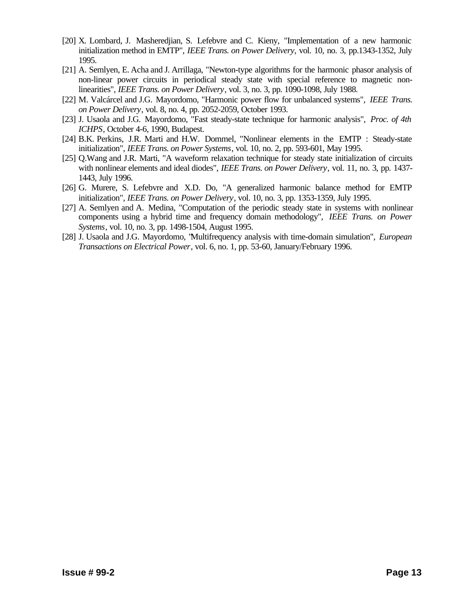- [20] X. Lombard, J. Masheredjian, S. Lefebvre and C. Kieny, "Implementation of a new harmonic initialization method in EMTP", *IEEE Trans. on Power Delivery*, vol. 10, no. 3, pp.1343-1352, July 1995.
- [21] A. Semlyen, E. Acha and J. Arrillaga, "Newton-type algorithms for the harmonic phasor analysis of non-linear power circuits in periodical steady state with special reference to magnetic nonlinearities", *IEEE Trans. on Power Delivery*, vol. 3, no. 3, pp. 1090-1098, July 1988.
- [22] M. Valcárcel and J.G. Mayordomo, "Harmonic power flow for unbalanced systems", *IEEE Trans. on Power Delivery*, vol. 8, no. 4, pp. 2052-2059, October 1993.
- [23] J. Usaola and J.G. Mayordomo, "Fast steady-state technique for harmonic analysis", *Proc. of 4th ICHPS*, October 4-6, 1990, Budapest.
- [24] B.K. Perkins, J.R. Marti and H.W. Dommel, "Nonlinear elements in the EMTP : Steady-state initialization", *IEEE Trans. on Power Systems*, vol. 10, no. 2, pp. 593-601, May 1995.
- [25] Q.Wang and J.R. Marti, "A waveform relaxation technique for steady state initialization of circuits with nonlinear elements and ideal diodes", *IEEE Trans. on Power Delivery*, vol. 11, no. 3, pp. 1437- 1443, July 1996.
- [26] G. Murere, S. Lefebvre and X.D. Do, "A generalized harmonic balance method for EMTP initialization", *IEEE Trans. on Power Delivery*, vol. 10, no. 3, pp. 1353-1359, July 1995.
- [27] A. Semlyen and A. Medina, "Computation of the periodic steady state in systems with nonlinear components using a hybrid time and frequency domain methodology", *IEEE Trans. on Power Systems*, vol. 10, no. 3, pp. 1498-1504, August 1995.
- [28] J. Usaola and J.G. Mayordomo, "Multifrequency analysis with time-domain simulation", *European Transactions on Electrical Power*, vol. 6, no. 1, pp. 53-60, January/February 1996.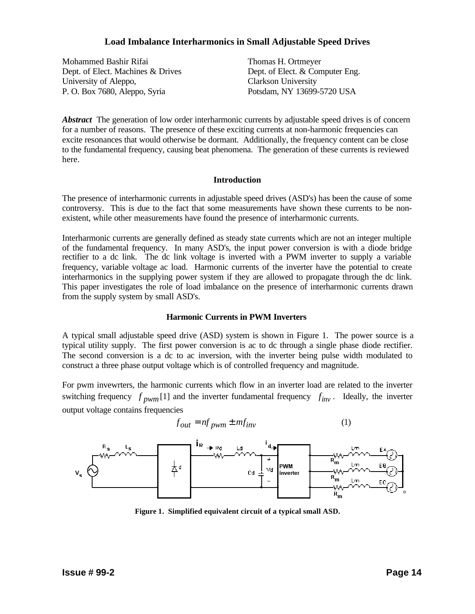# **Load Imbalance Interharmonics in Small Adjustable Speed Drives**

Mohammed Bashir Rifai Dept. of Elect. Machines & Drives University of Aleppo, P. O. Box 7680, Aleppo, Syria

Thomas H. Ortmeyer Dept. of Elect. & Computer Eng. Clarkson University Potsdam, NY 13699-5720 USA

*Abstract* The generation of low order interharmonic currents by adjustable speed drives is of concern for a number of reasons. The presence of these exciting currents at non-harmonic frequencies can excite resonances that would otherwise be dormant. Additionally, the frequency content can be close to the fundamental frequency, causing beat phenomena. The generation of these currents is reviewed here.

## **Introduction**

The presence of interharmonic currents in adjustable speed drives (ASD's) has been the cause of some controversy. This is due to the fact that some measurements have shown these currents to be nonexistent, while other measurements have found the presence of interharmonic currents.

Interharmonic currents are generally defined as steady state currents which are not an integer multiple of the fundamental frequency. In many ASD's, the input power conversion is with a diode bridge rectifier to a dc link. The dc link voltage is inverted with a PWM inverter to supply a variable frequency, variable voltage ac load. Harmonic currents of the inverter have the potential to create interharmonics in the supplying power system if they are allowed to propagate through the dc link. This paper investigates the role of load imbalance on the presence of interharmonic currents drawn from the supply system by small ASD's.

# **Harmonic Currents in PWM Inverters**

A typical small adjustable speed drive (ASD) system is shown in Figure 1. The power source is a typical utility supply. The first power conversion is ac to dc through a single phase diode rectifier. The second conversion is a dc to ac inversion, with the inverter being pulse width modulated to construct a three phase output voltage which is of controlled frequency and magnitude.

For pwm invewrters, the harmonic currents which flow in an inverter load are related to the inverter switching frequency  $f_{\text{pwm}}[1]$  and the inverter fundamental frequency  $f_{\text{inv}}$ . Ideally, the inverter output voltage contains frequencies

$$
f_{out} = nf_{pwm} \pm mf_{inv}
$$
 (1)



**Figure 1. Simplified equivalent circuit of a typical small ASD.**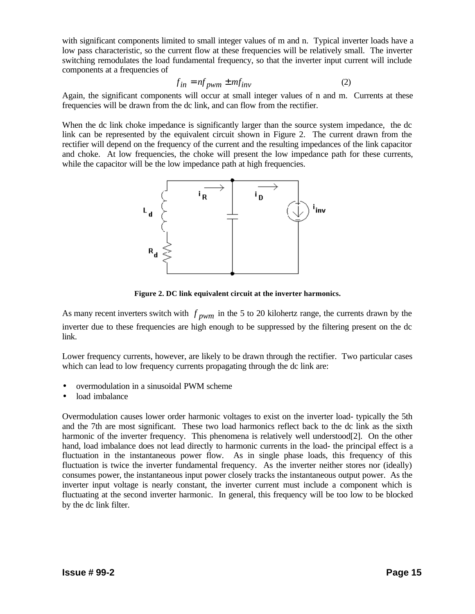with significant components limited to small integer values of m and n. Typical inverter loads have a low pass characteristic, so the current flow at these frequencies will be relatively small. The inverter switching remodulates the load fundamental frequency, so that the inverter input current will include components at a frequencies of

$$
f_{in} = nf_{pwm} \pm mf_{inv}
$$
 (2)

Again, the significant components will occur at small integer values of n and m. Currents at these frequencies will be drawn from the dc link, and can flow from the rectifier.

When the dc link choke impedance is significantly larger than the source system impedance, the dc link can be represented by the equivalent circuit shown in Figure 2. The current drawn from the rectifier will depend on the frequency of the current and the resulting impedances of the link capacitor and choke. At low frequencies, the choke will present the low impedance path for these currents, while the capacitor will be the low impedance path at high frequencies.



**Figure 2. DC link equivalent circuit at the inverter harmonics.**

As many recent inverters switch with *f pwm* in the 5 to 20 kilohertz range, the currents drawn by the inverter due to these frequencies are high enough to be suppressed by the filtering present on the dc link.

Lower frequency currents, however, are likely to be drawn through the rectifier. Two particular cases which can lead to low frequency currents propagating through the dc link are:

- overmodulation in a sinusoidal PWM scheme
- load imbalance

Overmodulation causes lower order harmonic voltages to exist on the inverter load- typically the 5th and the 7th are most significant. These two load harmonics reflect back to the dc link as the sixth harmonic of the inverter frequency. This phenomena is relatively well understood[2]. On the other hand, load imbalance does not lead directly to harmonic currents in the load- the principal effect is a fluctuation in the instantaneous power flow. As in single phase loads, this frequency of this fluctuation is twice the inverter fundamental frequency. As the inverter neither stores nor (ideally) consumes power, the instantaneous input power closely tracks the instantaneous output power. As the inverter input voltage is nearly constant, the inverter current must include a component which is fluctuating at the second inverter harmonic. In general, this frequency will be too low to be blocked by the dc link filter.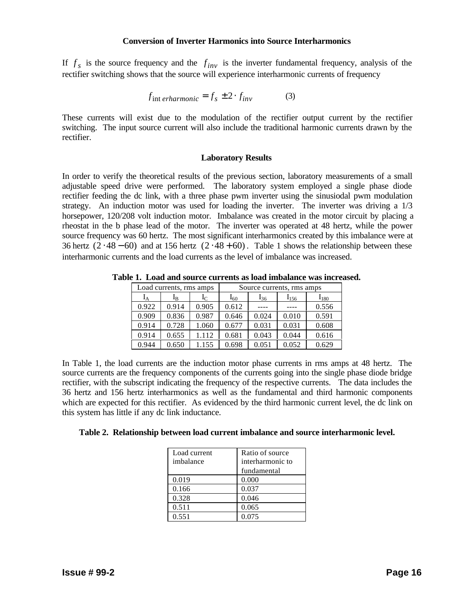### **Conversion of Inverter Harmonics into Source Interharmonics**

If  $f_s$  is the source frequency and the  $f_{inv}$  is the inverter fundamental frequency, analysis of the rectifier switching shows that the source will experience interharmonic currents of frequency

$$
f_{\text{int }erharmonic} = f_s \pm 2 \cdot f_{\text{inv}} \tag{3}
$$

These currents will exist due to the modulation of the rectifier output current by the rectifier switching. The input source current will also include the traditional harmonic currents drawn by the rectifier.

## **Laboratory Results**

In order to verify the theoretical results of the previous section, laboratory measurements of a small adjustable speed drive were performed. The laboratory system employed a single phase diode rectifier feeding the dc link, with a three phase pwm inverter using the sinusiodal pwm modulation strategy. An induction motor was used for loading the inverter. The inverter was driving a 1/3 horsepower, 120/208 volt induction motor. Imbalance was created in the motor circuit by placing a rheostat in the b phase lead of the motor. The inverter was operated at 48 hertz, while the power source frequency was 60 hertz. The most significant interharmonics created by this imbalance were at 36 hertz  $(2 \cdot 48 - 60)$  and at 156 hertz  $(2 \cdot 48 + 60)$ . Table 1 shows the relationship between these interharmonic currents and the load currents as the level of imbalance was increased.

|       | Load currents, rms amps |         | Source currents, rms amps |          |           |           |  |
|-------|-------------------------|---------|---------------------------|----------|-----------|-----------|--|
| Īд    | ΙŖ                      | $I_{C}$ | $I_{60}$                  | $I_{36}$ | $I_{156}$ | $I_{180}$ |  |
| 0.922 | 0.914                   | 0.905   | 0.612                     |          |           | 0.556     |  |
| 0.909 | 0.836                   | 0.987   | 0.646                     | 0.024    | 0.010     | 0.591     |  |
| 0.914 | 0.728                   | 1.060   | 0.677                     | 0.031    | 0.031     | 0.608     |  |
| 0.914 | 0.655                   | 1.112   | 0.681                     | 0.043    | 0.044     | 0.616     |  |
| 0.944 | 0.650                   | 1.155   | 0.698                     | 0.051    | 0.052     | 0.629     |  |

**Table 1. Load and source currents as load imbalance was increased.**

In Table 1, the load currents are the induction motor phase currents in rms amps at 48 hertz. The source currents are the frequency components of the currents going into the single phase diode bridge rectifier, with the subscript indicating the frequency of the respective currents. The data includes the 36 hertz and 156 hertz interharmonics as well as the fundamental and third harmonic components which are expected for this rectifier. As evidenced by the third harmonic current level, the dc link on this system has little if any dc link inductance.

|  |  |  |  |  |  | Table 2. Relationship between load current imbalance and source interharmonic level. |  |
|--|--|--|--|--|--|--------------------------------------------------------------------------------------|--|
|--|--|--|--|--|--|--------------------------------------------------------------------------------------|--|

| Load current | Ratio of source  |
|--------------|------------------|
| imbalance    | interharmonic to |
|              | fundamental      |
| 0.019        | 0.000            |
| 0.166        | 0.037            |
| 0.328        | 0.046            |
| 0.511        | 0.065            |
| 0.551        | 0.075            |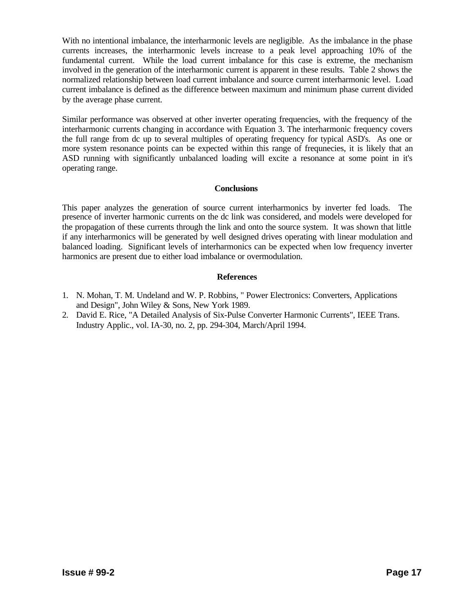With no intentional imbalance, the interharmonic levels are negligible. As the imbalance in the phase currents increases, the interharmonic levels increase to a peak level approaching 10% of the fundamental current. While the load current imbalance for this case is extreme, the mechanism involved in the generation of the interharmonic current is apparent in these results. Table 2 shows the normalized relationship between load current imbalance and source current interharmonic level. Load current imbalance is defined as the difference between maximum and minimum phase current divided by the average phase current.

Similar performance was observed at other inverter operating frequencies, with the frequency of the interharmonic currents changing in accordance with Equation 3. The interharmonic frequency covers the full range from dc up to several multiples of operating frequency for typical ASD's. As one or more system resonance points can be expected within this range of frequnecies, it is likely that an ASD running with significantly unbalanced loading will excite a resonance at some point in it's operating range.

# **Conclusions**

This paper analyzes the generation of source current interharmonics by inverter fed loads. The presence of inverter harmonic currents on the dc link was considered, and models were developed for the propagation of these currents through the link and onto the source system. It was shown that little if any interharmonics will be generated by well designed drives operating with linear modulation and balanced loading. Significant levels of interharmonics can be expected when low frequency inverter harmonics are present due to either load imbalance or overmodulation.

## **References**

- 1. N. Mohan, T. M. Undeland and W. P. Robbins, " Power Electronics: Converters, Applications and Design", John Wiley & Sons, New York 1989.
- 2. David E. Rice, "A Detailed Analysis of Six-Pulse Converter Harmonic Currents", IEEE Trans. Industry Applic., vol. IA-30, no. 2, pp. 294-304, March/April 1994.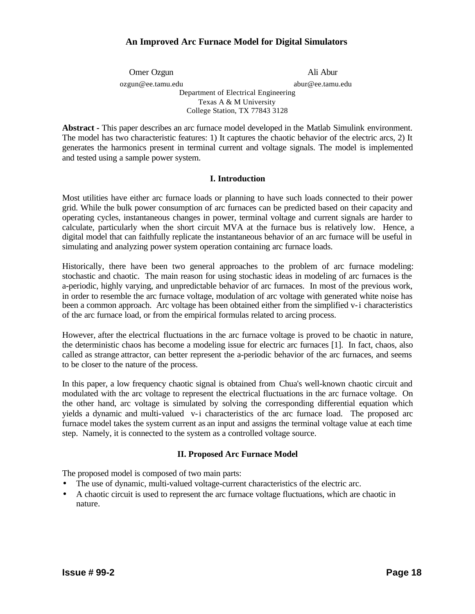# **An Improved Arc Furnace Model for Digital Simulators**

Omer Ozgun Ali Abur

ozgun@ee.tamu.edu abur@ee.tamu.edu

Department of Electrical Engineering Texas A & M University College Station, TX 77843 3128

**Abstract -** This paper describes an arc furnace model developed in the Matlab Simulink environment. The model has two characteristic features: 1) It captures the chaotic behavior of the electric arcs, 2) It generates the harmonics present in terminal current and voltage signals. The model is implemented and tested using a sample power system.

# **I. Introduction**

Most utilities have either arc furnace loads or planning to have such loads connected to their power grid. While the bulk power consumption of arc furnaces can be predicted based on their capacity and operating cycles, instantaneous changes in power, terminal voltage and current signals are harder to calculate, particularly when the short circuit MVA at the furnace bus is relatively low. Hence, a digital model that can faithfully replicate the instantaneous behavior of an arc furnace will be useful in simulating and analyzing power system operation containing arc furnace loads.

Historically, there have been two general approaches to the problem of arc furnace modeling: stochastic and chaotic. The main reason for using stochastic ideas in modeling of arc furnaces is the a-periodic, highly varying, and unpredictable behavior of arc furnaces. In most of the previous work, in order to resemble the arc furnace voltage, modulation of arc voltage with generated white noise has been a common approach. Arc voltage has been obtained either from the simplified v-i characteristics of the arc furnace load, or from the empirical formulas related to arcing process.

However, after the electrical fluctuations in the arc furnace voltage is proved to be chaotic in nature, the deterministic chaos has become a modeling issue for electric arc furnaces [1]. In fact, chaos, also called as strange attractor, can better represent the a-periodic behavior of the arc furnaces, and seems to be closer to the nature of the process.

In this paper, a low frequency chaotic signal is obtained from Chua's well-known chaotic circuit and modulated with the arc voltage to represent the electrical fluctuations in the arc furnace voltage. On the other hand, arc voltage is simulated by solving the corresponding differential equation which yields a dynamic and multi-valued v-i characteristics of the arc furnace load. The proposed arc furnace model takes the system current as an input and assigns the terminal voltage value at each time step. Namely, it is connected to the system as a controlled voltage source.

# **II. Proposed Arc Furnace Model**

The proposed model is composed of two main parts:

- The use of dynamic, multi-valued voltage-current characteristics of the electric arc.
- A chaotic circuit is used to represent the arc furnace voltage fluctuations, which are chaotic in nature.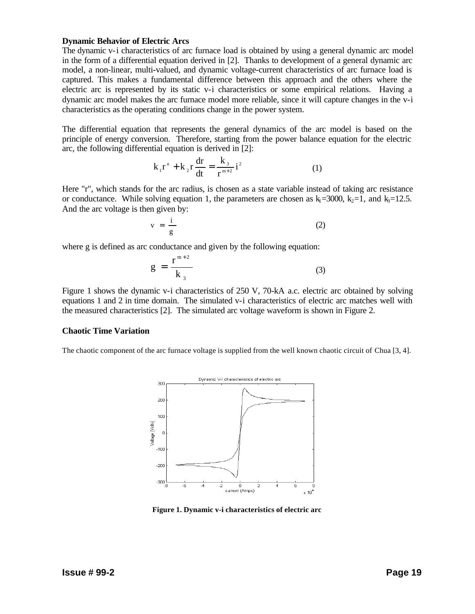#### **Dynamic Behavior of Electric Arcs**

The dynamic v-i characteristics of arc furnace load is obtained by using a general dynamic arc model in the form of a differential equation derived in [2]. Thanks to development of a general dynamic arc model, a non-linear, multi-valued, and dynamic voltage-current characteristics of arc furnace load is captured. This makes a fundamental difference between this approach and the others where the electric arc is represented by its static v-i characteristics or some empirical relations. Having a dynamic arc model makes the arc furnace model more reliable, since it will capture changes in the v-i characteristics as the operating conditions change in the power system.

The differential equation that represents the general dynamics of the arc model is based on the principle of energy conversion. Therefore, starting from the power balance equation for the electric arc, the following differential equation is derived in [2]:

$$
k_1 r^n + k_2 r \frac{dr}{dt} = \frac{k_3}{r^{m+2}} i^2
$$
 (1)

Here "r", which stands for the arc radius, is chosen as a state variable instead of taking arc resistance or conductance. While solving equation 1, the parameters are chosen as  $k_1=3000$ ,  $k_2=1$ , and  $k_3=12.5$ . And the arc voltage is then given by:

$$
v = \frac{i}{g} \tag{2}
$$

where g is defined as arc conductance and given by the following equation:

$$
g = \frac{r^{m+2}}{k_3} \tag{3}
$$

Figure 1 shows the dynamic v-i characteristics of 250 V, 70-kA a.c. electric arc obtained by solving equations 1 and 2 in time domain. The simulated v-i characteristics of electric arc matches well with the measured characteristics [2]. The simulated arc voltage waveform is shown in Figure 2.

## **Chaotic Time Variation**

The chaotic component of the arc furnace voltage is supplied from the well known chaotic circuit of Chua [3, 4].



**Figure 1. Dynamic v-i characteristics of electric arc**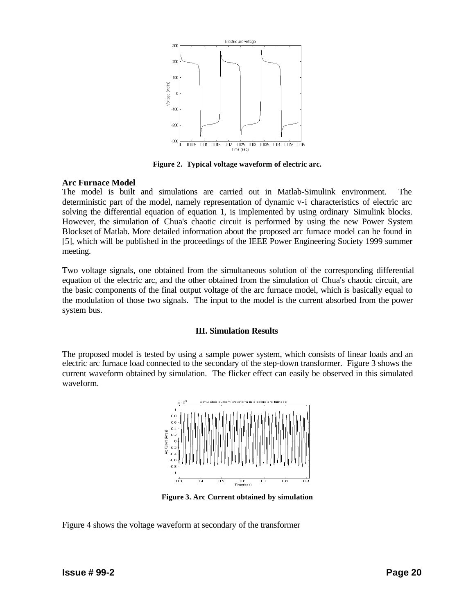

**Figure 2. Typical voltage waveform of electric arc.**

## **Arc Furnace Model**

The model is built and simulations are carried out in Matlab-Simulink environment. The deterministic part of the model, namely representation of dynamic v-i characteristics of electric arc solving the differential equation of equation 1, is implemented by using ordinary Simulink blocks. However, the simulation of Chua's chaotic circuit is performed by using the new Power System Blockset of Matlab. More detailed information about the proposed arc furnace model can be found in [5], which will be published in the proceedings of the IEEE Power Engineering Society 1999 summer meeting.

Two voltage signals, one obtained from the simultaneous solution of the corresponding differential equation of the electric arc, and the other obtained from the simulation of Chua's chaotic circuit, are the basic components of the final output voltage of the arc furnace model, which is basically equal to the modulation of those two signals. The input to the model is the current absorbed from the power system bus.

# **III. Simulation Results**

The proposed model is tested by using a sample power system, which consists of linear loads and an electric arc furnace load connected to the secondary of the step-down transformer. Figure 3 shows the current waveform obtained by simulation. The flicker effect can easily be observed in this simulated waveform.



**Figure 3. Arc Current obtained by simulation**

Figure 4 shows the voltage waveform at secondary of the transformer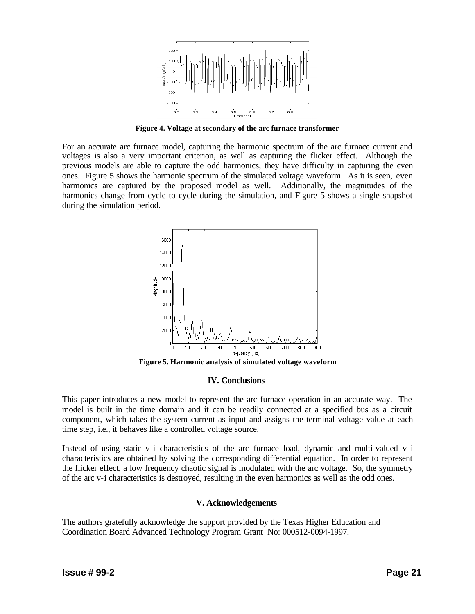

**Figure 4. Voltage at secondary of the arc furnace transformer**

For an accurate arc furnace model, capturing the harmonic spectrum of the arc furnace current and voltages is also a very important criterion, as well as capturing the flicker effect. Although the previous models are able to capture the odd harmonics, they have difficulty in capturing the even ones. Figure 5 shows the harmonic spectrum of the simulated voltage waveform. As it is seen, even harmonics are captured by the proposed model as well. Additionally, the magnitudes of the harmonics change from cycle to cycle during the simulation, and Figure 5 shows a single snapshot during the simulation period.



**Figure 5. Harmonic analysis of simulated voltage waveform**

## **IV. Conclusions**

This paper introduces a new model to represent the arc furnace operation in an accurate way. The model is built in the time domain and it can be readily connected at a specified bus as a circuit component, which takes the system current as input and assigns the terminal voltage value at each time step, i.e., it behaves like a controlled voltage source.

Instead of using static v-i characteristics of the arc furnace load, dynamic and multi-valued v-i characteristics are obtained by solving the corresponding differential equation. In order to represent the flicker effect, a low frequency chaotic signal is modulated with the arc voltage. So, the symmetry of the arc v-i characteristics is destroyed, resulting in the even harmonics as well as the odd ones.

## **V. Acknowledgements**

The authors gratefully acknowledge the support provided by the Texas Higher Education and Coordination Board Advanced Technology Program Grant No: 000512-0094-1997.